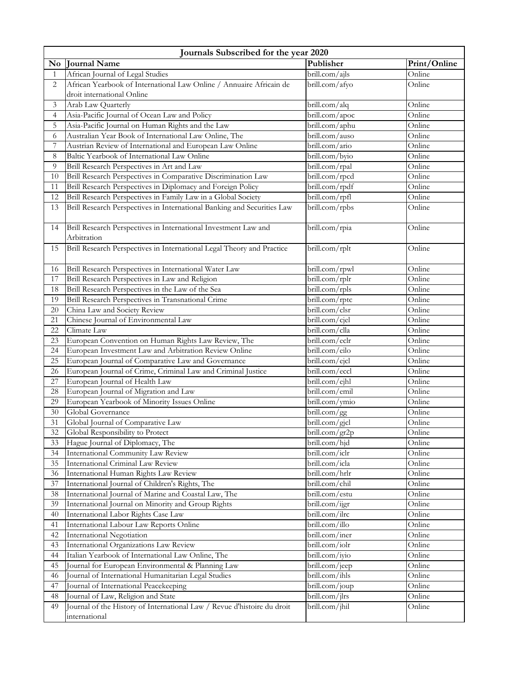|              | Journals Subscribed for the year 2020                                                                       |                                     |                  |  |
|--------------|-------------------------------------------------------------------------------------------------------------|-------------------------------------|------------------|--|
| No           | <b>Journal Name</b>                                                                                         | Publisher                           | Print/Online     |  |
| $\mathbf{1}$ | African Journal of Legal Studies                                                                            | $\overline{\text{brill.com}}$ /ajls | Online           |  |
| 2            | African Yearbook of International Law Online / Annuaire Africain de                                         | brill.com/afyo                      | Online           |  |
|              | droit international Online                                                                                  |                                     |                  |  |
| 3            | Arab Law Quarterly                                                                                          | brill.com/alq                       | Online           |  |
| 4            | Asia-Pacific Journal of Ocean Law and Policy                                                                | brill.com/apoc                      | Online           |  |
| 5            | Asia-Pacific Journal on Human Rights and the Law                                                            | $\overline{\text{brill.com}}$ /aphu | Online           |  |
| 6            | Australian Year Book of International Law Online, The                                                       | brill.com/auso                      | Online           |  |
| 7            | Austrian Review of International and European Law Online                                                    | brill.com/ario                      | Online           |  |
| 8            | Baltic Yearbook of International Law Online                                                                 | brill.com/byio                      | Online           |  |
| 9            | Brill Research Perspectives in Art and Law                                                                  | brill.com/rpal                      | Online           |  |
| 10           | Brill Research Perspectives in Comparative Discrimination Law                                               | brill.com/rpcd                      | Online           |  |
| 11           | Brill Research Perspectives in Diplomacy and Foreign Policy                                                 | brill.com/rpdf                      | Online           |  |
| 12           | Brill Research Perspectives in Family Law in a Global Society                                               | brill.com/rpfl                      | Online           |  |
| 13           | Brill Research Perspectives in International Banking and Securities Law                                     | brill.com/rpbs                      | Online           |  |
| 14           | Brill Research Perspectives in International Investment Law and<br>Arbitration                              | brill.com/rpia                      | Online           |  |
| 15           | Brill Research Perspectives in International Legal Theory and Practice                                      | brill.com/rplt                      | Online           |  |
|              |                                                                                                             |                                     |                  |  |
| 16           | Brill Research Perspectives in International Water Law                                                      | brill.com/rpwl                      | Online           |  |
| 17           | Brill Research Perspectives in Law and Religion                                                             | brill.com/rplr                      | Online           |  |
| 18           | Brill Research Perspectives in the Law of the Sea                                                           | brill.com/rpls                      | Online           |  |
| 19           | Brill Research Perspectives in Transnational Crime                                                          | brill.com/rptc                      | Online           |  |
| 20           | China Law and Society Review                                                                                | brill.com/clsr                      | Online           |  |
| 21           | Chinese Journal of Environmental Law                                                                        | brill.com/cjel                      | Online           |  |
| 22           | Climate Law                                                                                                 | brill.com/clla                      | Online           |  |
| 23           | European Convention on Human Rights Law Review, The                                                         | brill.com/eclr<br>brill.com/eilo    | Online<br>Online |  |
| 24<br>25     | European Investment Law and Arbitration Review Online<br>European Journal of Comparative Law and Governance | brill.com/ejcl                      | Online           |  |
| 26           | European Journal of Crime, Criminal Law and Criminal Justice                                                | brill.com/eccl                      | Online           |  |
| 27           | European Journal of Health Law                                                                              | brill.com/ejhl                      | Online           |  |
| 28           | European Journal of Migration and Law                                                                       | brill.com/emil                      | Online           |  |
| 29           | European Yearbook of Minority Issues Online                                                                 | brill.com/ymio                      | Online           |  |
| 30           | Global Governance                                                                                           | brill.com/gg                        | Online           |  |
| 31           | Global Journal of Comparative Law                                                                           | brill.com/gjcl                      | Online           |  |
| 32           | Global Responsibility to Protect                                                                            | brill.com/gr2p                      | Online           |  |
| 33           | Hague Journal of Diplomacy, The                                                                             | brill.com/hjd                       | Online           |  |
| 34           | International Community Law Review                                                                          | brill.com/iclr                      | Online           |  |
| 35           | International Criminal Law Review                                                                           | brill.com/icla                      | Online           |  |
| 36           | International Human Rights Law Review                                                                       | brill.com/hrlr                      | Online           |  |
| 37           | International Journal of Children's Rights, The                                                             | brill.com/chil                      | Online           |  |
| 38           | International Journal of Marine and Coastal Law, The                                                        | brill.com/estu                      | Online           |  |
| 39           | International Journal on Minority and Group Rights                                                          | brill.com/ijgr                      | Online           |  |
| 40           | International Labor Rights Case Law                                                                         | brill.com/ilrc                      | Online           |  |
| 41           | International Labour Law Reports Online                                                                     | brill.com/illo                      | Online           |  |
| 42           | International Negotiation                                                                                   | brill.com/iner                      | Online           |  |
| 43           | International Organizations Law Review                                                                      | brill.com/iolr                      | Online           |  |
| 44           | Italian Yearbook of International Law Online, The                                                           | brill.com/iyio                      | Online           |  |
| 45           | Journal for European Environmental & Planning Law                                                           | brill.com/jeep                      | Online           |  |
| 46           | Journal of International Humanitarian Legal Studies                                                         | brill.com/ihls                      | Online           |  |
| 47           | Journal of International Peacekeeping                                                                       | brill.com/joup                      | Online           |  |
| 48           | Journal of Law, Religion and State                                                                          | brill.com/jlrs                      | Online           |  |
| 49           | Journal of the History of International Law / Revue d'histoire du droit                                     | brill.com/jhil                      | Online           |  |
|              | international                                                                                               |                                     |                  |  |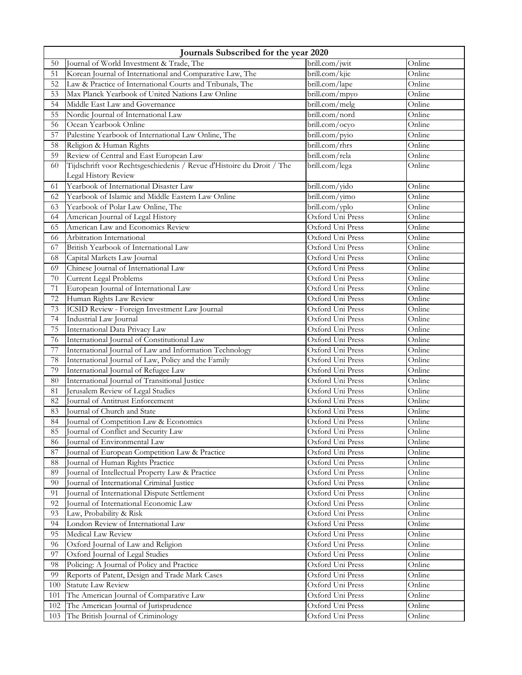| Journals Subscribed for the year 2020 |                                                                                     |                                      |                  |
|---------------------------------------|-------------------------------------------------------------------------------------|--------------------------------------|------------------|
| 50                                    | Journal of World Investment & Trade, The                                            | brill.com/jwit                       | Online           |
| 51                                    | Korean Journal of International and Comparative Law, The                            | brill.com/kjic                       | Online           |
| 52                                    | Law & Practice of International Courts and Tribunals, The                           | brill.com/lape                       | Online           |
| 53                                    | Max Planck Yearbook of United Nations Law Online                                    | brill.com/mpyo                       | Online           |
| 54                                    | Middle East Law and Governance                                                      | brill.com/melg                       | Online           |
| 55                                    | Nordic Journal of International Law                                                 | brill.com/nord                       | Online           |
| 56                                    | Ocean Yearbook Online                                                               | brill.com/ocyo                       | Online           |
| 57                                    | Palestine Yearbook of International Law Online, The                                 | brill.com/pyio                       | Online           |
| 58                                    | Religion & Human Rights                                                             | brill.com/rhrs                       | Online           |
| 59                                    | Review of Central and East European Law                                             | brill.com/rela                       | Online           |
| 60                                    | Tijdschrift voor Rechtsgeschiedenis / Revue d'Histoire du Droit / The               | brill.com/lega                       | Online           |
|                                       | Legal History Review                                                                |                                      |                  |
| 61                                    | Yearbook of International Disaster Law                                              | brill.com/yido                       | Online           |
| 62                                    | Yearbook of Islamic and Middle Eastern Law Online                                   | brill.com/yimo                       | Online           |
| 63                                    | Yearbook of Polar Law Online, The                                                   | brill.com/yplo                       | Online           |
| 64                                    | American Journal of Legal History                                                   | Oxford Uni Press                     | Online           |
| 65                                    | American Law and Economics Review                                                   | Oxford Uni Press                     | Online           |
| 66                                    | Arbitration International                                                           | Oxford Uni Press                     | Online           |
| 67                                    | British Yearbook of International Law                                               | Oxford Uni Press                     | Online           |
| 68                                    | Capital Markets Law Journal                                                         | Oxford Uni Press                     | Online           |
| 69                                    | Chinese Journal of International Law                                                | Oxford Uni Press                     | Online           |
| 70                                    | Current Legal Problems                                                              | Oxford Uni Press                     | Online           |
| 71                                    | European Journal of International Law                                               | Oxford Uni Press                     | Online           |
| 72                                    | Human Rights Law Review                                                             | Oxford Uni Press                     | Online           |
| 73                                    | ICSID Review - Foreign Investment Law Journal                                       | Oxford Uni Press                     | Online           |
| 74                                    | Industrial Law Journal                                                              | Oxford Uni Press                     | Online           |
| 75                                    | International Data Privacy Law                                                      | Oxford Uni Press                     | Online           |
| 76                                    | International Journal of Constitutional Law                                         | Oxford Uni Press                     | Online           |
| 77                                    | International Journal of Law and Information Technology                             | Oxford Uni Press                     | Online           |
| 78                                    | International Journal of Law, Policy and the Family                                 | Oxford Uni Press                     | Online           |
| 79                                    | International Journal of Refugee Law                                                | Oxford Uni Press                     | Online           |
| 80<br>81                              | International Journal of Transitional Justice                                       | Oxford Uni Press<br>Oxford Uni Press | Online<br>Online |
| 82                                    | Jerusalem Review of Legal Studies<br>Journal of Antitrust Enforcement               |                                      | Online           |
|                                       | Journal of Church and State                                                         | Oxford Uni Press                     |                  |
| 83                                    |                                                                                     | Oxford Uni Press                     | Online<br>Online |
| 84                                    | Journal of Competition Law & Economics                                              | Oxford Uni Press                     |                  |
| 85<br>86                              | Journal of Conflict and Security Law                                                | Oxford Uni Press                     | Online<br>Online |
| 87                                    | Journal of Environmental Law                                                        | Oxford Uni Press<br>Oxford Uni Press | Online           |
| 88                                    | Journal of European Competition Law & Practice                                      | Oxford Uni Press                     | Online           |
| 89                                    | Journal of Human Rights Practice<br>Journal of Intellectual Property Law & Practice | Oxford Uni Press                     | Online           |
| 90                                    | Journal of International Criminal Justice                                           | Oxford Uni Press                     | Online           |
| 91                                    | Journal of International Dispute Settlement                                         | Oxford Uni Press                     | Online           |
| 92                                    | Journal of International Economic Law                                               | Oxford Uni Press                     | Online           |
| 93                                    | Law, Probability & Risk                                                             | Oxford Uni Press                     | Online           |
| 94                                    | London Review of International Law                                                  | Oxford Uni Press                     | Online           |
| 95                                    | Medical Law Review                                                                  | Oxford Uni Press                     | Online           |
| 96                                    | Oxford Journal of Law and Religion                                                  | Oxford Uni Press                     | Online           |
| 97                                    | Oxford Journal of Legal Studies                                                     | Oxford Uni Press                     | Online           |
| 98                                    | Policing: A Journal of Policy and Practice                                          | Oxford Uni Press                     | Online           |
| 99                                    | Reports of Patent, Design and Trade Mark Cases                                      | Oxford Uni Press                     | Online           |
| 100                                   | <b>Statute Law Review</b>                                                           | Oxford Uni Press                     | Online           |
| 101                                   | The American Journal of Comparative Law                                             | Oxford Uni Press                     | Online           |
| 102                                   | The American Journal of Jurisprudence                                               | Oxford Uni Press                     | Online           |
| 103                                   | The British Journal of Criminology                                                  | Oxford Uni Press                     | Online           |
|                                       |                                                                                     |                                      |                  |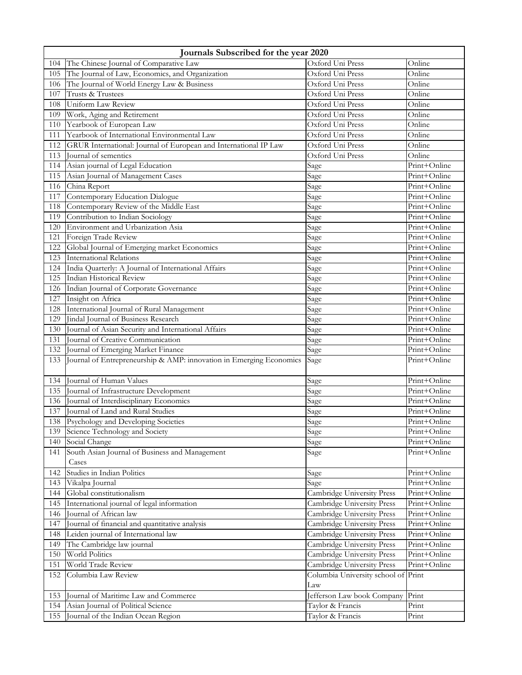|     | Journals Subscribed for the year 2020                               |                                     |              |  |
|-----|---------------------------------------------------------------------|-------------------------------------|--------------|--|
| 104 | The Chinese Journal of Comparative Law                              | Oxford Uni Press                    | Online       |  |
| 105 | The Journal of Law, Economics, and Organization                     | Oxford Uni Press                    | Online       |  |
| 106 | The Journal of World Energy Law & Business                          | Oxford Uni Press                    | Online       |  |
| 107 | Trusts & Trustees                                                   | Oxford Uni Press                    | Online       |  |
| 108 | Uniform Law Review                                                  | Oxford Uni Press                    | Online       |  |
| 109 | Work, Aging and Retirement                                          | Oxford Uni Press                    | Online       |  |
| 110 | Yearbook of European Law                                            | Oxford Uni Press                    | Online       |  |
| 111 | Yearbook of International Environmental Law                         | Oxford Uni Press                    | Online       |  |
| 112 | GRUR International: Journal of European and International IP Law    | Oxford Uni Press                    | Online       |  |
| 113 | Journal of sementics                                                | Oxford Uni Press                    | Online       |  |
| 114 | Asian journal of Legal Education                                    | Sage                                | Print+Online |  |
| 115 | Asian Journal of Management Cases                                   | Sage                                | Print+Online |  |
| 116 | China Report                                                        | Sage                                | Print+Online |  |
| 117 | Contemporary Education Dialogue                                     | Sage                                | Print+Online |  |
| 118 | Contemporary Review of the Middle East                              | Sage                                | Print+Online |  |
| 119 | Contribution to Indian Sociology                                    | Sage                                | Print+Online |  |
| 120 | Environment and Urbanization Asia                                   | Sage                                | Print+Online |  |
| 121 | Foreign Trade Review                                                | Sage                                | Print+Online |  |
| 122 | Global Journal of Emerging market Economics                         | Sage                                | Print+Online |  |
| 123 | <b>International Relations</b>                                      | Sage                                | Print+Online |  |
| 124 | India Quarterly: A Journal of International Affairs                 | Sage                                | Print+Online |  |
| 125 | Indian Historical Review                                            | Sage                                | Print+Online |  |
| 126 | Indian Journal of Corporate Governance                              | Sage                                | Print+Online |  |
| 127 | Insight on Africa                                                   | Sage                                | Print+Online |  |
| 128 | International Journal of Rural Management                           | Sage                                | Print+Online |  |
| 129 | Jindal Journal of Business Research                                 | Sage                                | Print+Online |  |
| 130 | Journal of Asian Security and International Affairs                 | Sage                                | Print+Online |  |
| 131 | Journal of Creative Communication                                   | Sage                                | Print+Online |  |
| 132 | Journal of Emerging Market Finance                                  | Sage                                | Print+Online |  |
| 133 | Journal of Entrepreneurship & AMP: innovation in Emerging Economics | Sage                                | Print+Online |  |
| 134 | Journal of Human Values                                             | Sage                                | Print+Online |  |
| 135 | Journal of Infrastructure Development                               | Sage                                | Print+Online |  |
| 136 | Journal of Interdisciplinary Economics                              | Sage                                | Print+Online |  |
| 137 | Journal of Land and Rural Studies                                   | Sage                                | Print+Online |  |
| 138 | Psychology and Developing Societies                                 | Sage                                | Print+Online |  |
| 139 | Science Technology and Society                                      | Sage                                | Print+Online |  |
| 140 | Social Change                                                       | Sage                                | Print+Online |  |
| 141 | South Asian Journal of Business and Management                      | Sage                                | Print+Online |  |
|     | Cases                                                               |                                     |              |  |
| 142 | Studies in Indian Politics                                          | Sage                                | Print+Online |  |
| 143 | Vikalpa Journal                                                     | Sage                                | Print+Online |  |
| 144 | Global constitutionalism                                            | Cambridge University Press          | Print+Online |  |
| 145 | International journal of legal information                          | Cambridge University Press          | Print+Online |  |
| 146 | Journal of African law                                              | Cambridge University Press          | Print+Online |  |
| 147 | Journal of financial and quantitative analysis                      | Cambridge University Press          | Print+Online |  |
| 148 | Leiden journal of International law                                 | Cambridge University Press          | Print+Online |  |
| 149 | The Cambridge law journal                                           | Cambridge University Press          | Print+Online |  |
| 150 | World Politics                                                      | Cambridge University Press          | Print+Online |  |
| 151 | World Trade Review                                                  | Cambridge University Press          | Print+Online |  |
| 152 | Columbia Law Review                                                 | Columbia University school of Print |              |  |
|     |                                                                     | Law                                 |              |  |
| 153 | Journal of Maritime Law and Commerce                                | Jefferson Law book Company          | Print        |  |
| 154 | Asian Journal of Political Science                                  | Taylor & Francis                    | Print        |  |
| 155 | Journal of the Indian Ocean Region                                  | Taylor & Francis                    | Print        |  |